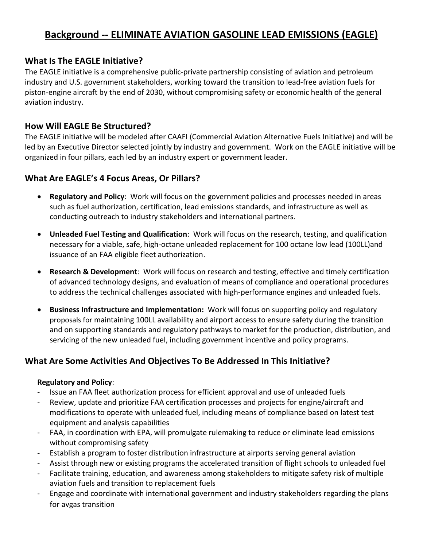# **Background -- ELIMINATE AVIATION GASOLINE LEAD EMISSIONS (EAGLE)**

### **What Is The EAGLE Initiative?**

The EAGLE initiative is a comprehensive public-private partnership consisting of aviation and petroleum industry and U.S. government stakeholders, working toward the transition to lead-free aviation fuels for piston-engine aircraft by the end of 2030, without compromising safety or economic health of the general aviation industry.

## **How Will EAGLE Be Structured?**

The EAGLE initiative will be modeled after CAAFI (Commercial Aviation Alternative Fuels Initiative) and will be led by an Executive Director selected jointly by industry and government. Work on the EAGLE initiative will be organized in four pillars, each led by an industry expert or government leader.

# **What Are EAGLE's 4 Focus Areas, Or Pillars?**

- **Regulatory and Policy**: Work will focus on the government policies and processes needed in areas such as fuel authorization, certification, lead emissions standards, and infrastructure as well as conducting outreach to industry stakeholders and international partners.
- **Unleaded Fuel Testing and Qualification**: Work will focus on the research, testing, and qualification necessary for a viable, safe, high-octane unleaded replacement for 100 octane low lead (100LL)and issuance of an FAA eligible fleet authorization.
- **Research & Development**: Work will focus on research and testing, effective and timely certification of advanced technology designs, and evaluation of means of compliance and operational procedures to address the technical challenges associated with high-performance engines and unleaded fuels.
- **Business Infrastructure and Implementation:** Work will focus on supporting policy and regulatory proposals for maintaining 100LL availability and airport access to ensure safety during the transition and on supporting standards and regulatory pathways to market for the production, distribution, and servicing of the new unleaded fuel, including government incentive and policy programs.

# **What Are Some Activities And Objectives To Be Addressed In This Initiative?**

#### **Regulatory and Policy**:

- Issue an FAA fleet authorization process for efficient approval and use of unleaded fuels
- Review, update and prioritize FAA certification processes and projects for engine/aircraft and modifications to operate with unleaded fuel, including means of compliance based on latest test equipment and analysis capabilities
- FAA, in coordination with EPA, will promulgate rulemaking to reduce or eliminate lead emissions without compromising safety
- Establish a program to foster distribution infrastructure at airports serving general aviation
- Assist through new or existing programs the accelerated transition of flight schools to unleaded fuel
- Facilitate training, education, and awareness among stakeholders to mitigate safety risk of multiple aviation fuels and transition to replacement fuels
- Engage and coordinate with international government and industry stakeholders regarding the plans for avgas transition